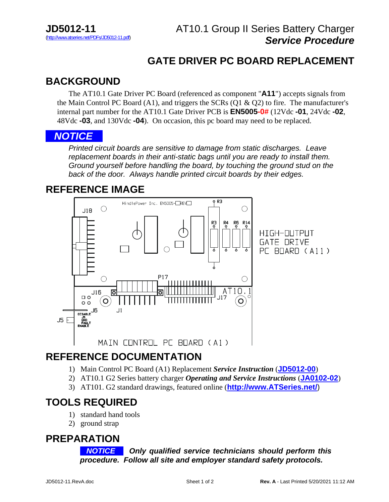# **GATE DRIVER PC BOARD REPLACEMENT**

## **BACKGROUND**

 The AT10.1 Gate Driver PC Board (referenced as component "**A11**") accepts signals from the Main Control PC Board  $(A1)$ , and triggers the SCRs  $(Q1 \& Q2)$  to fire. The manufacturer's internal part number for the AT10.1 Gate Driver PCB is **EN5005-0#** (12Vdc **-01**, 24Vdc **-02**, 48Vdc **-03**, and 130Vdc **-04**). On occasion, this pc board may need to be replaced.

#### *NOTICE. .*.

*Printed circuit boards are sensitive to damage from static discharges. Leave replacement boards in their anti-static bags until you are ready to install them. Ground yourself before handling the board, by touching the ground stud on the back of the door. Always handle printed circuit boards by their edges.*

### **REFERENCE IMAGE**



## **REFERENCE DOCUMENTATION**

- 1) Main Control PC Board (A1) Replacement *Service Instruction* (**[JD5012-00](http://www.atseries.net/PDFs/JD5012-00.pdf)**)
- 2) AT10.1 G2 Series battery charger *Operating and Service Instructions* (**[JA0102-02](http://www.atseries.net/PDFs/JA0102-02.pdf)**)
- 3) AT101. G2 standard drawings, featured online (**[http://www.ATSeries.net/](http://www.atseries.net/)**)

# **TOOLS REQUIRED**

- 1) standard hand tools
- 2) ground strap

#### **PREPARATION**

*NOTICE* **.** *Only qualified service technicians should perform this procedure. Follow all site and employer standard safety protocols.*